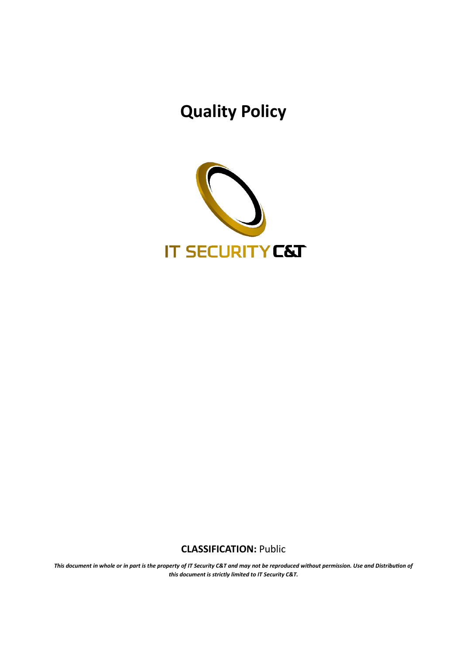# **Quality Policy**



### **CLASSIFICATION:** Public

*This document in whole or in part is the property of IT Security C&T and may not be reproduced without permission. Use and Distribution of this document is strictly limited to IT Security C&T.*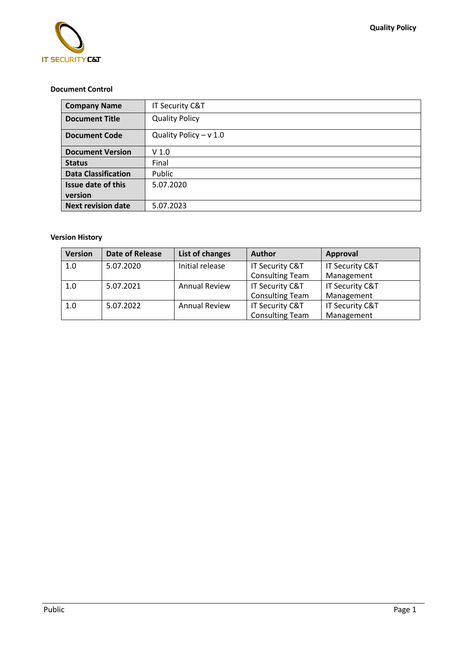

#### **Document Control**

| <b>Company Name</b>        | IT Security C&T          |  |  |
|----------------------------|--------------------------|--|--|
| <b>Document Title</b>      | <b>Quality Policy</b>    |  |  |
| <b>Document Code</b>       | Quality Policy $- v 1.0$ |  |  |
| <b>Document Version</b>    | V <sub>1.0</sub>         |  |  |
| <b>Status</b>              | Final                    |  |  |
| <b>Data Classification</b> | Public                   |  |  |
| <b>Issue date of this</b>  | 5.07.2020                |  |  |
| version                    |                          |  |  |
| <b>Next revision date</b>  | 5.07.2023                |  |  |

#### **Version History**

| <b>Version</b> | Date of Release | List of changes      | <b>Author</b>          | Approval        |
|----------------|-----------------|----------------------|------------------------|-----------------|
| 1.0            | 5.07.2020       | Initial release      | IT Security C&T        | IT Security C&T |
|                |                 |                      | <b>Consulting Team</b> | Management      |
| 1.0            | 5.07.2021       | <b>Annual Review</b> | IT Security C&T        | IT Security C&T |
|                |                 |                      | <b>Consulting Team</b> | Management      |
| 1.0            | 5.07.2022       | <b>Annual Review</b> | IT Security C&T        | IT Security C&T |
|                |                 |                      | <b>Consulting Team</b> | Management      |